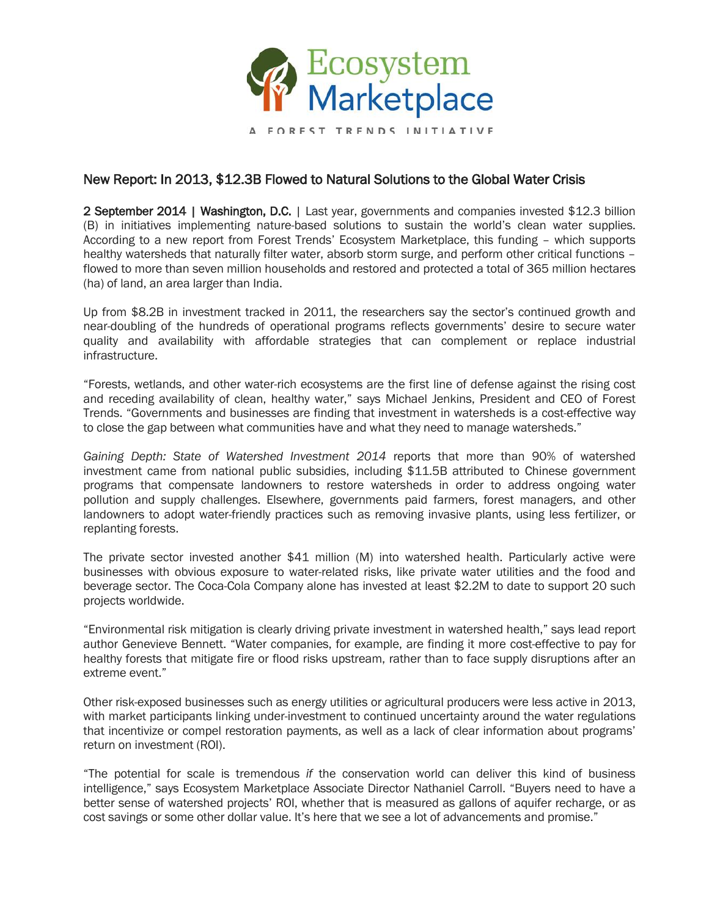

A FOREST TRENDS INITIATIVE

## New Report: In 2013, \$12.3B Flowed to Natural Solutions to the Global Water Crisis

2 September 2014 | Washington, D.C. | Last year, governments and companies invested \$12.3 billion (B) in initiatives implementing nature-based solutions to sustain the world's clean water supplies. According to a new report from Forest Trends' Ecosystem Marketplace, this funding – which supports healthy watersheds that naturally filter water, absorb storm surge, and perform other critical functions – flowed to more than seven million households and restored and protected a total of 365 million hectares (ha) of land, an area larger than India.

Up from \$8.2B in investment tracked in 2011, the researchers say the sector's continued growth and near-doubling of the hundreds of operational programs reflects governments' desire to secure water quality and availability with affordable strategies that can complement or replace industrial infrastructure.

"Forests, wetlands, and other water-rich ecosystems are the first line of defense against the rising cost and receding availability of clean, healthy water," says Michael Jenkins, President and CEO of Forest Trends. "Governments and businesses are finding that investment in watersheds is a cost-effective way to close the gap between what communities have and what they need to manage watersheds."

*Gaining Depth: State of Watershed Investment 2014* reports that more than 90% of watershed investment came from national public subsidies, including \$11.5B attributed to Chinese government programs that compensate landowners to restore watersheds in order to address ongoing water pollution and supply challenges. Elsewhere, governments paid farmers, forest managers, and other landowners to adopt water-friendly practices such as removing invasive plants, using less fertilizer, or replanting forests.

The private sector invested another \$41 million (M) into watershed health. Particularly active were businesses with obvious exposure to water-related risks, like private water utilities and the food and beverage sector. The Coca-Cola Company alone has invested at least \$2.2M to date to support 20 such projects worldwide.

"Environmental risk mitigation is clearly driving private investment in watershed health," says lead report author Genevieve Bennett. "Water companies, for example, are finding it more cost-effective to pay for healthy forests that mitigate fire or flood risks upstream, rather than to face supply disruptions after an extreme event."

Other risk-exposed businesses such as energy utilities or agricultural producers were less active in 2013, with market participants linking under-investment to continued uncertainty around the water regulations that incentivize or compel restoration payments, as well as a lack of clear information about programs' return on investment (ROI).

"The potential for scale is tremendous *if* the conservation world can deliver this kind of business intelligence," says Ecosystem Marketplace Associate Director Nathaniel Carroll. "Buyers need to have a better sense of watershed projects' ROI, whether that is measured as gallons of aquifer recharge, or as cost savings or some other dollar value. It's here that we see a lot of advancements and promise."